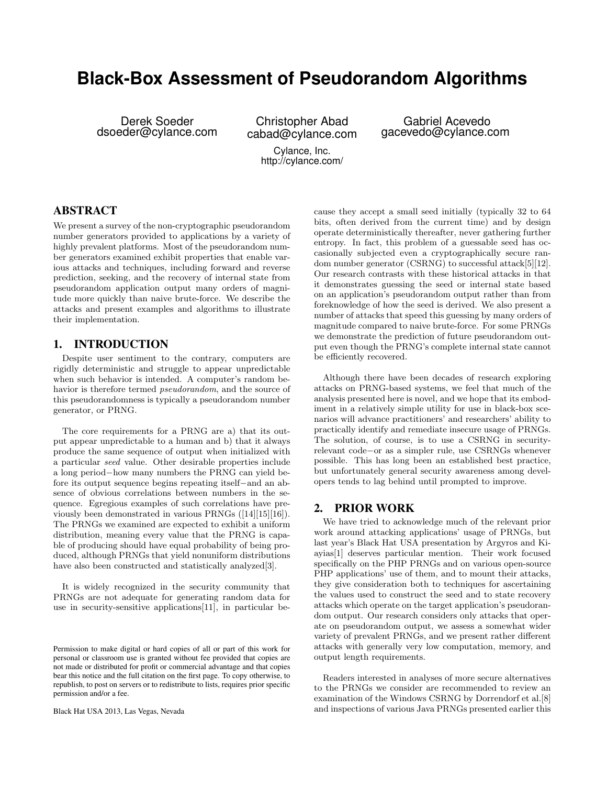# **Black-Box Assessment of Pseudorandom Algorithms**

Derek Soeder dsoeder@cylance.com

Christopher Abad cabad@cylance.com Cylance, Inc.

http://cylance.com/

Gabriel Acevedo gacevedo@cylance.com

# ABSTRACT

We present a survey of the non-cryptographic pseudorandom number generators provided to applications by a variety of highly prevalent platforms. Most of the pseudorandom number generators examined exhibit properties that enable various attacks and techniques, including forward and reverse prediction, seeking, and the recovery of internal state from pseudorandom application output many orders of magnitude more quickly than naive brute-force. We describe the attacks and present examples and algorithms to illustrate their implementation.

# 1. INTRODUCTION

Despite user sentiment to the contrary, computers are rigidly deterministic and struggle to appear unpredictable when such behavior is intended. A computer's random behavior is therefore termed pseudorandom, and the source of this pseudorandomness is typically a pseudorandom number generator, or PRNG.

The core requirements for a PRNG are a) that its output appear unpredictable to a human and b) that it always produce the same sequence of output when initialized with a particular seed value. Other desirable properties include a long period−how many numbers the PRNG can yield before its output sequence begins repeating itself−and an absence of obvious correlations between numbers in the sequence. Egregious examples of such correlations have previously been demonstrated in various PRNGs ([14][15][16]). The PRNGs we examined are expected to exhibit a uniform distribution, meaning every value that the PRNG is capable of producing should have equal probability of being produced, although PRNGs that yield nonuniform distributions have also been constructed and statistically analyzed[3].

It is widely recognized in the security community that PRNGs are not adequate for generating random data for use in security-sensitive applications[11], in particular be-

Black Hat USA 2013, Las Vegas, Nevada

cause they accept a small seed initially (typically 32 to 64 bits, often derived from the current time) and by design operate deterministically thereafter, never gathering further entropy. In fact, this problem of a guessable seed has occasionally subjected even a cryptographically secure random number generator (CSRNG) to successful attack[5][12]. Our research contrasts with these historical attacks in that it demonstrates guessing the seed or internal state based on an application's pseudorandom output rather than from foreknowledge of how the seed is derived. We also present a number of attacks that speed this guessing by many orders of magnitude compared to naive brute-force. For some PRNGs we demonstrate the prediction of future pseudorandom output even though the PRNG's complete internal state cannot be efficiently recovered.

Although there have been decades of research exploring attacks on PRNG-based systems, we feel that much of the analysis presented here is novel, and we hope that its embodiment in a relatively simple utility for use in black-box scenarios will advance practitioners' and researchers' ability to practically identify and remediate insecure usage of PRNGs. The solution, of course, is to use a CSRNG in securityrelevant code−or as a simpler rule, use CSRNGs whenever possible. This has long been an established best practice, but unfortunately general security awareness among developers tends to lag behind until prompted to improve.

## 2. PRIOR WORK

We have tried to acknowledge much of the relevant prior work around attacking applications' usage of PRNGs, but last year's Black Hat USA presentation by Argyros and Kiayias[1] deserves particular mention. Their work focused specifically on the PHP PRNGs and on various open-source PHP applications' use of them, and to mount their attacks, they give consideration both to techniques for ascertaining the values used to construct the seed and to state recovery attacks which operate on the target application's pseudorandom output. Our research considers only attacks that operate on pseudorandom output, we assess a somewhat wider variety of prevalent PRNGs, and we present rather different attacks with generally very low computation, memory, and output length requirements.

Readers interested in analyses of more secure alternatives to the PRNGs we consider are recommended to review an examination of the Windows CSRNG by Dorrendorf et al.[8] and inspections of various Java PRNGs presented earlier this

Permission to make digital or hard copies of all or part of this work for personal or classroom use is granted without fee provided that copies are not made or distributed for profit or commercial advantage and that copies bear this notice and the full citation on the first page. To copy otherwise, to republish, to post on servers or to redistribute to lists, requires prior specific permission and/or a fee.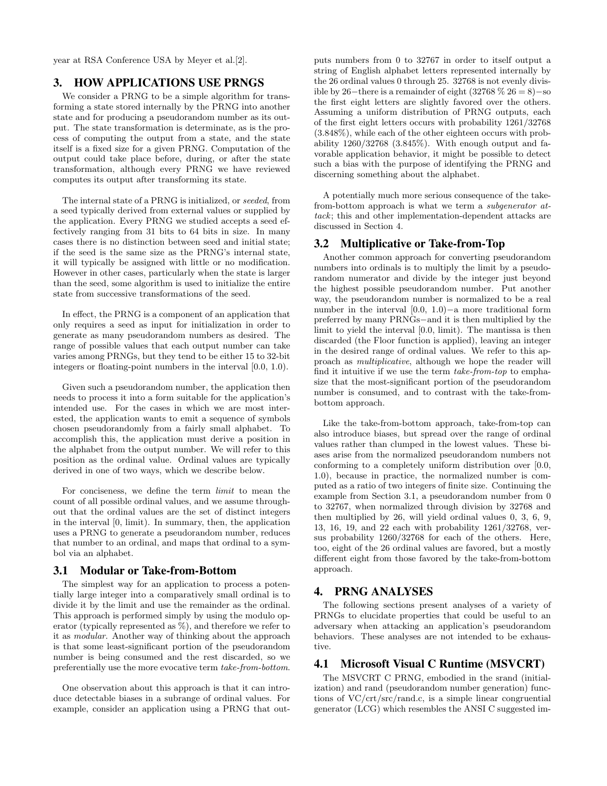year at RSA Conference USA by Meyer et al.[2].

# 3. HOW APPLICATIONS USE PRNGS

We consider a PRNG to be a simple algorithm for transforming a state stored internally by the PRNG into another state and for producing a pseudorandom number as its output. The state transformation is determinate, as is the process of computing the output from a state, and the state itself is a fixed size for a given PRNG. Computation of the output could take place before, during, or after the state transformation, although every PRNG we have reviewed computes its output after transforming its state.

The internal state of a PRNG is initialized, or seeded, from a seed typically derived from external values or supplied by the application. Every PRNG we studied accepts a seed effectively ranging from 31 bits to 64 bits in size. In many cases there is no distinction between seed and initial state; if the seed is the same size as the PRNG's internal state, it will typically be assigned with little or no modification. However in other cases, particularly when the state is larger than the seed, some algorithm is used to initialize the entire state from successive transformations of the seed.

In effect, the PRNG is a component of an application that only requires a seed as input for initialization in order to generate as many pseudorandom numbers as desired. The range of possible values that each output number can take varies among PRNGs, but they tend to be either 15 to 32-bit integers or floating-point numbers in the interval [0.0, 1.0).

Given such a pseudorandom number, the application then needs to process it into a form suitable for the application's intended use. For the cases in which we are most interested, the application wants to emit a sequence of symbols chosen pseudorandomly from a fairly small alphabet. To accomplish this, the application must derive a position in the alphabet from the output number. We will refer to this position as the ordinal value. Ordinal values are typically derived in one of two ways, which we describe below.

For conciseness, we define the term limit to mean the count of all possible ordinal values, and we assume throughout that the ordinal values are the set of distinct integers in the interval [0, limit). In summary, then, the application uses a PRNG to generate a pseudorandom number, reduces that number to an ordinal, and maps that ordinal to a symbol via an alphabet.

## 3.1 Modular or Take-from-Bottom

The simplest way for an application to process a potentially large integer into a comparatively small ordinal is to divide it by the limit and use the remainder as the ordinal. This approach is performed simply by using the modulo operator (typically represented as %), and therefore we refer to it as modular. Another way of thinking about the approach is that some least-significant portion of the pseudorandom number is being consumed and the rest discarded, so we preferentially use the more evocative term take-from-bottom.

One observation about this approach is that it can introduce detectable biases in a subrange of ordinal values. For example, consider an application using a PRNG that outputs numbers from 0 to 32767 in order to itself output a string of English alphabet letters represented internally by the 26 ordinal values 0 through 25. 32768 is not evenly divisible by 26−there is a remainder of eight (32768 % 26 = 8)−so the first eight letters are slightly favored over the others. Assuming a uniform distribution of PRNG outputs, each of the first eight letters occurs with probability 1261/32768 (3.848%), while each of the other eighteen occurs with probability  $1260/32768$  (3.845%). With enough output and favorable application behavior, it might be possible to detect such a bias with the purpose of identifying the PRNG and discerning something about the alphabet.

A potentially much more serious consequence of the takefrom-bottom approach is what we term a subgenerator attack; this and other implementation-dependent attacks are discussed in Section 4.

## 3.2 Multiplicative or Take-from-Top

Another common approach for converting pseudorandom numbers into ordinals is to multiply the limit by a pseudorandom numerator and divide by the integer just beyond the highest possible pseudorandom number. Put another way, the pseudorandom number is normalized to be a real number in the interval [0.0, 1.0)−a more traditional form preferred by many PRNGs−and it is then multiplied by the limit to yield the interval [0.0, limit). The mantissa is then discarded (the Floor function is applied), leaving an integer in the desired range of ordinal values. We refer to this approach as multiplicative, although we hope the reader will find it intuitive if we use the term take-from-top to emphasize that the most-significant portion of the pseudorandom number is consumed, and to contrast with the take-frombottom approach.

Like the take-from-bottom approach, take-from-top can also introduce biases, but spread over the range of ordinal values rather than clumped in the lowest values. These biases arise from the normalized pseudorandom numbers not conforming to a completely uniform distribution over [0.0, 1.0), because in practice, the normalized number is computed as a ratio of two integers of finite size. Continuing the example from Section 3.1, a pseudorandom number from 0 to 32767, when normalized through division by 32768 and then multiplied by 26, will yield ordinal values 0, 3, 6, 9, 13, 16, 19, and 22 each with probability 1261/32768, versus probability 1260/32768 for each of the others. Here, too, eight of the 26 ordinal values are favored, but a mostly different eight from those favored by the take-from-bottom approach.

## 4. PRNG ANALYSES

The following sections present analyses of a variety of PRNGs to elucidate properties that could be useful to an adversary when attacking an application's pseudorandom behaviors. These analyses are not intended to be exhaustive.

## 4.1 Microsoft Visual C Runtime (MSVCRT)

The MSVCRT C PRNG, embodied in the srand (initialization) and rand (pseudorandom number generation) functions of VC/crt/src/rand.c, is a simple linear congruential generator (LCG) which resembles the ANSI C suggested im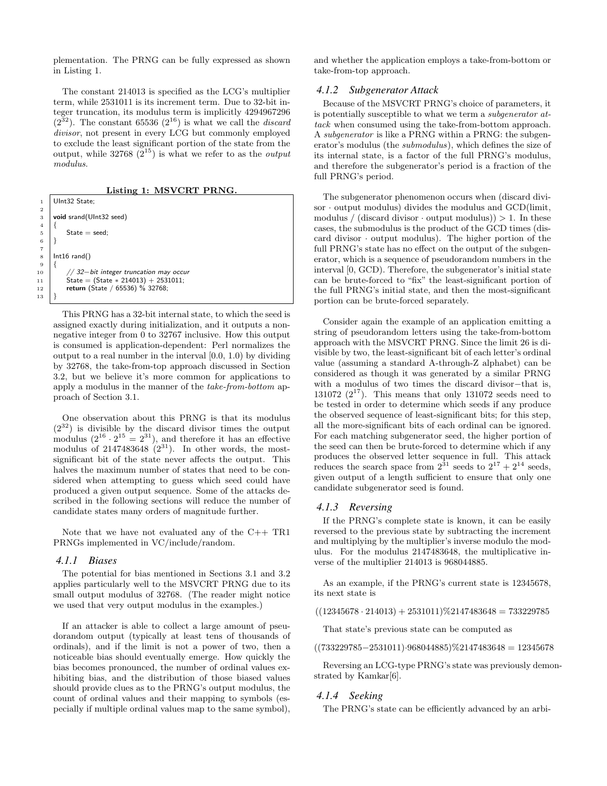plementation. The PRNG can be fully expressed as shown in Listing 1.

The constant 214013 is specified as the LCG's multiplier term, while 2531011 is its increment term. Due to 32-bit integer truncation, its modulus term is implicitly 4294967296  $(2^{32})$ . The constant 65536  $(2^{16})$  is what we call the *discard* divisor, not present in every LCG but commonly employed to exclude the least significant portion of the state from the output, while  $32768\ (2^{15})$  is what we refer to as the *output* modulus.

Listing 1: MSVCRT PRNG.

```
UInt32 State;
 3 void srand(UInt32 seed)
 \begin{array}{c} 4 \\ 5 \end{array} {
 \begin{bmatrix} 5 \\ 6 \end{bmatrix} State = seed;
       \mathcal{E}8 | Int16 rand()
              10 // 32−bit integer truncation may occur
11 State = (State * 214013) + 2531011;<br>12 return (State / 65536) % 32768:
              return (State / 65536) % 32768;
```
This PRNG has a 32-bit internal state, to which the seed is assigned exactly during initialization, and it outputs a nonnegative integer from 0 to 32767 inclusive. How this output is consumed is application-dependent: Perl normalizes the output to a real number in the interval [0.0, 1.0) by dividing by 32768, the take-from-top approach discussed in Section 3.2, but we believe it's more common for applications to apply a modulus in the manner of the take-from-bottom approach of Section 3.1.

One observation about this PRNG is that its modulus  $(2^{32})$  is divisible by the discard divisor times the output modulus  $(2^{16} \cdot 2^{15} = 2^{31})$ , and therefore it has an effective modulus of  $2147483648$   $(2^{31})$ . In other words, the mostsignificant bit of the state never affects the output. This halves the maximum number of states that need to be considered when attempting to guess which seed could have produced a given output sequence. Some of the attacks described in the following sections will reduce the number of candidate states many orders of magnitude further.

Note that we have not evaluated any of the  $C_{++}$  TR1 PRNGs implemented in VC/include/random.

#### *4.1.1 Biases*

The potential for bias mentioned in Sections 3.1 and 3.2 applies particularly well to the MSVCRT PRNG due to its small output modulus of 32768. (The reader might notice we used that very output modulus in the examples.)

If an attacker is able to collect a large amount of pseudorandom output (typically at least tens of thousands of ordinals), and if the limit is not a power of two, then a noticeable bias should eventually emerge. How quickly the bias becomes pronounced, the number of ordinal values exhibiting bias, and the distribution of those biased values should provide clues as to the PRNG's output modulus, the count of ordinal values and their mapping to symbols (especially if multiple ordinal values map to the same symbol), and whether the application employs a take-from-bottom or take-from-top approach.

#### *4.1.2 Subgenerator Attack*

Because of the MSVCRT PRNG's choice of parameters, it is potentially susceptible to what we term a subgenerator attack when consumed using the take-from-bottom approach. A subgenerator is like a PRNG within a PRNG: the subgenerator's modulus (the submodulus), which defines the size of its internal state, is a factor of the full PRNG's modulus, and therefore the subgenerator's period is a fraction of the full PRNG's period.

The subgenerator phenomenon occurs when (discard divisor  $\cdot$  output modulus) divides the modulus and GCD(limit, modulus / (discard divisor  $\cdot$  output modulus))  $> 1$ . In these cases, the submodulus is the product of the GCD times (discard divisor  $\cdot$  output modulus). The higher portion of the full PRNG's state has no effect on the output of the subgenerator, which is a sequence of pseudorandom numbers in the interval [0, GCD). Therefore, the subgenerator's initial state can be brute-forced to "fix" the least-significant portion of the full PRNG's initial state, and then the most-significant portion can be brute-forced separately.

Consider again the example of an application emitting a string of pseudorandom letters using the take-from-bottom approach with the MSVCRT PRNG. Since the limit 26 is divisible by two, the least-significant bit of each letter's ordinal value (assuming a standard A-through-Z alphabet) can be considered as though it was generated by a similar PRNG with a modulus of two times the discard divisor−that is, 131072  $(2^{17})$ . This means that only 131072 seeds need to be tested in order to determine which seeds if any produce the observed sequence of least-significant bits; for this step, all the more-significant bits of each ordinal can be ignored. For each matching subgenerator seed, the higher portion of the seed can then be brute-forced to determine which if any produces the observed letter sequence in full. This attack reduces the search space from  $2^{31}$  seeds to  $2^{17} + 2^{14}$  seeds, given output of a length sufficient to ensure that only one candidate subgenerator seed is found.

#### *4.1.3 Reversing*

If the PRNG's complete state is known, it can be easily reversed to the previous state by subtracting the increment and multiplying by the multiplier's inverse modulo the modulus. For the modulus 2147483648, the multiplicative inverse of the multiplier 214013 is 968044885.

As an example, if the PRNG's current state is 12345678, its next state is

 $((12345678 \cdot 214013) + 2531011)\%2147483648 = 733229785$ 

That state's previous state can be computed as

 $((733229785 - 2531011) \cdot 968044885) \% 2147483648 = 12345678$ 

Reversing an LCG-type PRNG's state was previously demonstrated by Kamkar[6].

#### *4.1.4 Seeking*

The PRNG's state can be efficiently advanced by an arbi-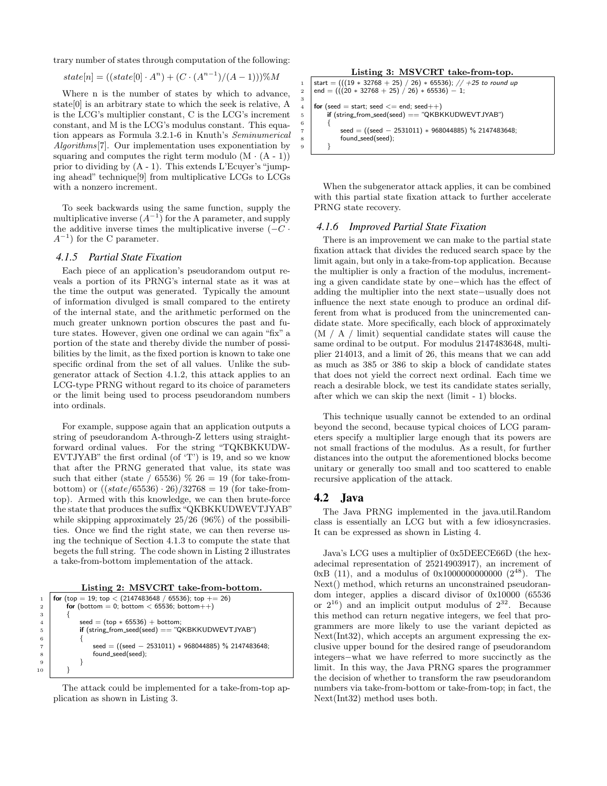trary number of states through computation of the following:

$$
state[n] = ((state[0] \cdot A^n) + (C \cdot (A^{n-1})/(A-1)))\%M
$$

Where n is the number of states by which to advance, state[0] is an arbitrary state to which the seek is relative, A is the LCG's multiplier constant, C is the LCG's increment constant, and M is the LCG's modulus constant. This equation appears as Formula 3.2.1-6 in Knuth's Seminumerical Algorithms<sup>[7]</sup>. Our implementation uses exponentiation by squaring and computes the right term modulo  $(M \cdot (A - 1))$ prior to dividing by (A - 1). This extends L'Ecuyer's "jumping ahead" technique[9] from multiplicative LCGs to LCGs with a nonzero increment.

To seek backwards using the same function, supply the multiplicative inverse  $(A^{-1})$  for the A parameter, and supply the additive inverse times the multiplicative inverse  $(-C \cdot$  $A^{-1}$ ) for the C parameter.

#### *4.1.5 Partial State Fixation*

Each piece of an application's pseudorandom output reveals a portion of its PRNG's internal state as it was at the time the output was generated. Typically the amount of information divulged is small compared to the entirety of the internal state, and the arithmetic performed on the much greater unknown portion obscures the past and future states. However, given one ordinal we can again "fix" a portion of the state and thereby divide the number of possibilities by the limit, as the fixed portion is known to take one specific ordinal from the set of all values. Unlike the subgenerator attack of Section 4.1.2, this attack applies to an LCG-type PRNG without regard to its choice of parameters or the limit being used to process pseudorandom numbers into ordinals.

For example, suppose again that an application outputs a string of pseudorandom A-through-Z letters using straightforward ordinal values. For the string "TQKBKKUDW-EVTJYAB" the first ordinal (of 'T') is 19, and so we know that after the PRNG generated that value, its state was such that either (state / 65536)  $\%$  26 = 19 (for take-frombottom) or  $((state/65536) \cdot 26)/32768 = 19$  (for take-fromtop). Armed with this knowledge, we can then brute-force the state that produces the suffix "QKBKKUDWEVTJYAB" while skipping approximately 25/26 (96%) of the possibilities. Once we find the right state, we can then reverse using the technique of Section 4.1.3 to compute the state that begets the full string. The code shown in Listing 2 illustrates a take-from-bottom implementation of the attack.

|  |  | Listing 2: MSVCRT take-from-bottom. |  |
|--|--|-------------------------------------|--|
|  |  |                                     |  |

1 **for** (top = 19; top < (2147483648 / 65536); top  $+= 26$ ) 2 **for** (bottom = 0; bottom < 65536; bottom++) 3 { 4 seed =  $(top * 65536) + bottom;$  $5$  if (string\_from\_seed(seed) == "QKBKKUDWEVTJYAB") 6 {  $7 \mid$  seed = ((seed - 2531011) \* 968044885) % 2147483648; 8 **b** found\_seed(seed); 9 } 10 }

The attack could be implemented for a take-from-top application as shown in Listing 3.





When the subgenerator attack applies, it can be combined with this partial state fixation attack to further accelerate PRNG state recovery.

#### *4.1.6 Improved Partial State Fixation*

There is an improvement we can make to the partial state fixation attack that divides the reduced search space by the limit again, but only in a take-from-top application. Because the multiplier is only a fraction of the modulus, incrementing a given candidate state by one−which has the effect of adding the multiplier into the next state−usually does not influence the next state enough to produce an ordinal different from what is produced from the unincremented candidate state. More specifically, each block of approximately (M / A / limit) sequential candidate states will cause the same ordinal to be output. For modulus 2147483648, multiplier 214013, and a limit of 26, this means that we can add as much as 385 or 386 to skip a block of candidate states that does not yield the correct next ordinal. Each time we reach a desirable block, we test its candidate states serially, after which we can skip the next (limit - 1) blocks.

This technique usually cannot be extended to an ordinal beyond the second, because typical choices of LCG parameters specify a multiplier large enough that its powers are not small fractions of the modulus. As a result, for further distances into the output the aforementioned blocks become unitary or generally too small and too scattered to enable recursive application of the attack.

#### 4.2 Java

3

The Java PRNG implemented in the java.util.Random class is essentially an LCG but with a few idiosyncrasies. It can be expressed as shown in Listing 4.

Java's LCG uses a multiplier of 0x5DEECE66D (the hexadecimal representation of 25214903917), an increment of  $0xB$  (11), and a modulus of  $0x10000000000000$  (2<sup>48</sup>). The Next() method, which returns an unconstrained pseudorandom integer, applies a discard divisor of 0x10000 (65536 or  $2^{16}$ ) and an implicit output modulus of  $2^{32}$ . Because this method can return negative integers, we feel that programmers are more likely to use the variant depicted as Next(Int32), which accepts an argument expressing the exclusive upper bound for the desired range of pseudorandom integers−what we have referred to more succinctly as the limit. In this way, the Java PRNG spares the programmer the decision of whether to transform the raw pseudorandom numbers via take-from-bottom or take-from-top; in fact, the Next(Int32) method uses both.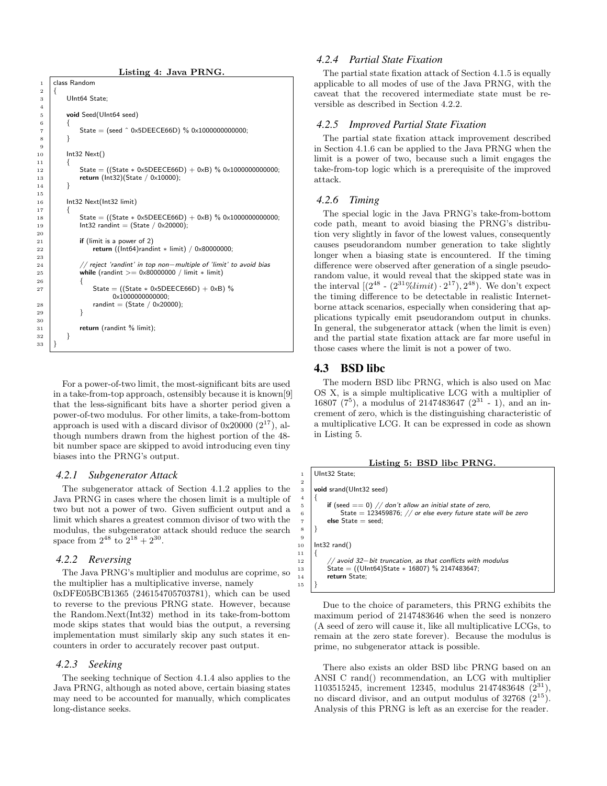```
Listing 4: Java PRNG.
     class Random
3 UInt64 State;
5 void Seed(UInt64 seed)
 \begin{array}{c|c} 6 & \phantom{0}6 \\ \hline 7 & \phantom{0}1 \end{array}State = (seed ^ 0x5DEECE66D) % 0x100000000000;8 }
10 | Int32 Next()
11 \mid \{12 State = ((State * 0x5DEECE66D) + 0xB) % 0x1000000000000;<br>13 return (Int32)(State / 0x10000);
        return (Int32)(State / 0x10000);
16 | Int32 Next(Int32 limit)
18 State = ((State * 0x5DEECE66D) + 0xB) % 0x1000000000000;
19 \vert Int32 randint = (State / 0x20000);
21 if (limit is a power of 2)
22 return ((Int64)randint * limit) / 0x80000000;
24 // reject 'randint' in top non−multiple of 'limit' to avoid bias
25 while (randint >= 0x80000000 / limit ∗ limit)
27 State = ((State * 0x5DEECE66D) + 0xB) %
                     0x1000000000000;
28 randint = (State / 0x20000);
31 return (randint % limit):
32 | }
```
For a power-of-two limit, the most-significant bits are used in a take-from-top approach, ostensibly because it is known[9] that the less-significant bits have a shorter period given a power-of-two modulus. For other limits, a take-from-bottom approach is used with a discard divisor of  $0x20000 (2^{17})$ , although numbers drawn from the highest portion of the 48 bit number space are skipped to avoid introducing even tiny biases into the PRNG's output.

#### *4.2.1 Subgenerator Attack*

The subgenerator attack of Section 4.1.2 applies to the Java PRNG in cases where the chosen limit is a multiple of two but not a power of two. Given sufficient output and a limit which shares a greatest common divisor of two with the modulus, the subgenerator attack should reduce the search space from  $2^{48}$  to  $2^{18} + 2^{30}$ .

### *4.2.2 Reversing*

The Java PRNG's multiplier and modulus are coprime, so the multiplier has a multiplicative inverse, namely 0xDFE05BCB1365 (246154705703781), which can be used to reverse to the previous PRNG state. However, because the Random.Next(Int32) method in its take-from-bottom mode skips states that would bias the output, a reversing implementation must similarly skip any such states it encounters in order to accurately recover past output.

#### *4.2.3 Seeking*

The seeking technique of Section 4.1.4 also applies to the Java PRNG, although as noted above, certain biasing states may need to be accounted for manually, which complicates long-distance seeks.

#### *4.2.4 Partial State Fixation*

The partial state fixation attack of Section 4.1.5 is equally applicable to all modes of use of the Java PRNG, with the caveat that the recovered intermediate state must be reversible as described in Section 4.2.2.

#### *4.2.5 Improved Partial State Fixation*

The partial state fixation attack improvement described in Section 4.1.6 can be applied to the Java PRNG when the limit is a power of two, because such a limit engages the take-from-top logic which is a prerequisite of the improved attack.

#### *4.2.6 Timing*

The special logic in the Java PRNG's take-from-bottom code path, meant to avoid biasing the PRNG's distribution very slightly in favor of the lowest values, consequently causes pseudorandom number generation to take slightly longer when a biasing state is encountered. If the timing difference were observed after generation of a single pseudorandom value, it would reveal that the skipped state was in the interval  $[ (2^{48} - (2^{31} \% limit) \cdot 2^{17}), 2^{48})$ . We don't expect the timing difference to be detectable in realistic Internetborne attack scenarios, especially when considering that applications typically emit pseudorandom output in chunks. In general, the subgenerator attack (when the limit is even) and the partial state fixation attack are far more useful in those cases where the limit is not a power of two.

### 4.3 BSD libc

 $1.0 \times 2.5$ 

9  $10$  $\frac{11}{12}$ 

15 }

The modern BSD libc PRNG, which is also used on Mac OS X, is a simple multiplicative LCG with a multiplier of 16807 ( $7^5$ ), a modulus of 2147483647 ( $2^{31}$  - 1), and an increment of zero, which is the distinguishing characteristic of a multiplicative LCG. It can be expressed in code as shown in Listing 5.

Listing 5: BSD libc PRNG.

|                | UInt32 State;                                                   |
|----------------|-----------------------------------------------------------------|
| $\overline{2}$ |                                                                 |
| 3              | void srand(UInt32 seed)                                         |
|                |                                                                 |
| 5              | if (seed $== 0$ ) // don't allow an initial state of zero,      |
| 6              | State = 123459876; $//$ or else every future state will be zero |
|                | else $State = seed$ ;                                           |
| 8              |                                                                 |
| 9              |                                                                 |
| 10             | $Int32$ rand()                                                  |
| 11             |                                                                 |
| $12\,$         | // avoid 32-bit truncation, as that conflicts with modulus      |
| 13             | State = $((UInt64)State * 16807)$ % 2147483647;                 |
| 14             | return State:                                                   |
| 15             |                                                                 |
|                |                                                                 |

Due to the choice of parameters, this PRNG exhibits the maximum period of 2147483646 when the seed is nonzero (A seed of zero will cause it, like all multiplicative LCGs, to remain at the zero state forever). Because the modulus is prime, no subgenerator attack is possible.

There also exists an older BSD libc PRNG based on an ANSI C rand() recommendation, an LCG with multiplier 1103515245, increment 12345, modulus 2147483648 (2<sup>31</sup>) no discard divisor, and an output modulus of 32768  $(2^{15})$ . Analysis of this PRNG is left as an exercise for the reader.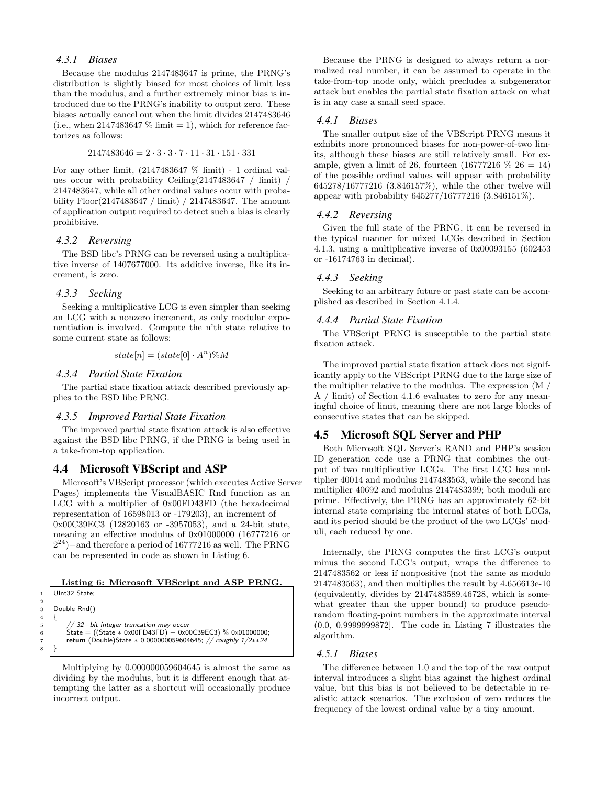### *4.3.1 Biases*

Because the modulus 2147483647 is prime, the PRNG's distribution is slightly biased for most choices of limit less than the modulus, and a further extremely minor bias is introduced due to the PRNG's inability to output zero. These biases actually cancel out when the limit divides 2147483646 (i.e., when 2147483647  $\%$  limit = 1), which for reference factorizes as follows:

$$
2147483646=2\cdot 3\cdot 3\cdot 7\cdot 11\cdot 31\cdot 151\cdot 331
$$

For any other limit,  $(2147483647 \% \text{ limit})$  - 1 ordinal values occur with probability Ceiling(2147483647 / limit) / 2147483647, while all other ordinal values occur with probability Floor(2147483647 / limit) / 2147483647. The amount of application output required to detect such a bias is clearly prohibitive.

#### *4.3.2 Reversing*

The BSD libc's PRNG can be reversed using a multiplicative inverse of 1407677000. Its additive inverse, like its increment, is zero.

#### *4.3.3 Seeking*

2

 $\overline{4}$ 

8 }

Seeking a multiplicative LCG is even simpler than seeking an LCG with a nonzero increment, as only modular exponentiation is involved. Compute the n'th state relative to some current state as follows:

$$
state[n] = (state[0] \cdot A^n) \% M
$$

#### *4.3.4 Partial State Fixation*

The partial state fixation attack described previously applies to the BSD libc PRNG.

#### *4.3.5 Improved Partial State Fixation*

The improved partial state fixation attack is also effective against the BSD libc PRNG, if the PRNG is being used in a take-from-top application.

## 4.4 Microsoft VBScript and ASP

Microsoft's VBScript processor (which executes Active Server Pages) implements the VisualBASIC Rnd function as an LCG with a multiplier of 0x00FD43FD (the hexadecimal representation of 16598013 or -179203), an increment of 0x00C39EC3 (12820163 or -3957053), and a 24-bit state, meaning an effective modulus of 0x01000000 (16777216 or  $2^{24}$ ) – and therefore a period of 16777216 as well. The PRNG can be represented in code as shown in Listing 6.

#### Listing 6: Microsoft VBScript and ASP PRNG.

|                | Ulnt32 State;                                                     |
|----------------|-------------------------------------------------------------------|
| $\overline{2}$ |                                                                   |
| 3              | Double Rnd()                                                      |
| 4              |                                                                   |
| 5              | $//$ 32-bit integer truncation may occur                          |
| 6              | State = ((State $*$ 0x00FD43FD) + 0x00C39EC3) % 0x01000000;       |
| $\overline{7}$ | return (Double)State $* 0.000000059604645$ ; // roughly $1/2**24$ |
| 8              |                                                                   |
|                |                                                                   |

Multiplying by 0.000000059604645 is almost the same as dividing by the modulus, but it is different enough that attempting the latter as a shortcut will occasionally produce incorrect output.

Because the PRNG is designed to always return a normalized real number, it can be assumed to operate in the take-from-top mode only, which precludes a subgenerator attack but enables the partial state fixation attack on what is in any case a small seed space.

#### *4.4.1 Biases*

The smaller output size of the VBScript PRNG means it exhibits more pronounced biases for non-power-of-two limits, although these biases are still relatively small. For example, given a limit of 26, fourteen  $(16777216 \% 26 = 14)$ of the possible ordinal values will appear with probability 645278/16777216 (3.846157%), while the other twelve will appear with probability 645277/16777216 (3.846151%).

#### *4.4.2 Reversing*

Given the full state of the PRNG, it can be reversed in the typical manner for mixed LCGs described in Section 4.1.3, using a multiplicative inverse of 0x00093155 (602453 or -16174763 in decimal).

#### *4.4.3 Seeking*

Seeking to an arbitrary future or past state can be accomplished as described in Section 4.1.4.

#### *4.4.4 Partial State Fixation*

The VBScript PRNG is susceptible to the partial state fixation attack.

The improved partial state fixation attack does not significantly apply to the VBScript PRNG due to the large size of the multiplier relative to the modulus. The expression (M / A / limit) of Section 4.1.6 evaluates to zero for any meaningful choice of limit, meaning there are not large blocks of consecutive states that can be skipped.

## 4.5 Microsoft SQL Server and PHP

Both Microsoft SQL Server's RAND and PHP's session ID generation code use a PRNG that combines the output of two multiplicative LCGs. The first LCG has multiplier 40014 and modulus 2147483563, while the second has multiplier 40692 and modulus 2147483399; both moduli are prime. Effectively, the PRNG has an approximately 62-bit internal state comprising the internal states of both LCGs, and its period should be the product of the two LCGs' moduli, each reduced by one.

Internally, the PRNG computes the first LCG's output minus the second LCG's output, wraps the difference to 2147483562 or less if nonpositive (not the same as modulo 2147483563), and then multiplies the result by 4.656613e-10 (equivalently, divides by 2147483589.46728, which is somewhat greater than the upper bound) to produce pseudorandom floating-point numbers in the approximate interval (0.0, 0.9999999872]. The code in Listing 7 illustrates the algorithm.

#### *4.5.1 Biases*

The difference between 1.0 and the top of the raw output interval introduces a slight bias against the highest ordinal value, but this bias is not believed to be detectable in realistic attack scenarios. The exclusion of zero reduces the frequency of the lowest ordinal value by a tiny amount.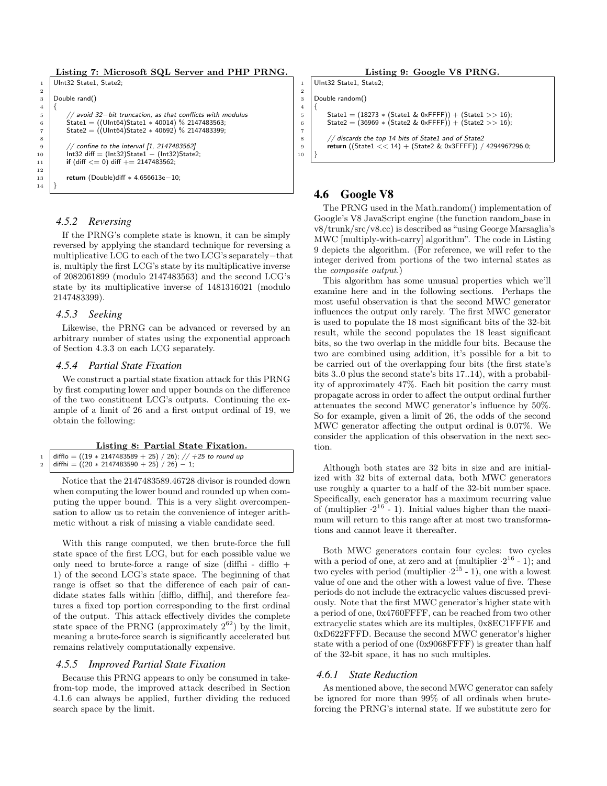```
Listing 7: Microsoft SQL Server and PHP PRNG.
```

```
UInt32 State1, State2;
 2
 3 Double rand()
 \overline{4}5 // avoid 32−bit truncation, as that conflicts with modulus
  6 State1 = ((UInt64)State1 ∗ 40014) % 2147483563;
7 State2 = ((UInt64)State2 ∗ 40692) % 2147483399;
 8
 9 // confine to the interval [1, 2147483562]
10 \left| \begin{array}{c} \text{int32 diff} = (\text{Int32}) \text{State1} - (\text{Int32}) \text{State2}; \\ \text{if } (\text{diff} \leq 0) \text{ differ} + = 2147483562. \end{array} \right|if (diff \leq = 0) diff + = 2147483562;
12
13 return (Double)diff * 4.656613e−10;
14 }
```
#### *4.5.2 Reversing*

If the PRNG's complete state is known, it can be simply reversed by applying the standard technique for reversing a multiplicative LCG to each of the two LCG's separately−that is, multiply the first LCG's state by its multiplicative inverse of 2082061899 (modulo 2147483563) and the second LCG's state by its multiplicative inverse of 1481316021 (modulo 2147483399).

#### *4.5.3 Seeking*

Likewise, the PRNG can be advanced or reversed by an arbitrary number of states using the exponential approach of Section 4.3.3 on each LCG separately.

#### *4.5.4 Partial State Fixation*

We construct a partial state fixation attack for this PRNG by first computing lower and upper bounds on the difference of the two constituent LCG's outputs. Continuing the example of a limit of 26 and a first output ordinal of 19, we obtain the following:

#### Listing 8: Partial State Fixation.

| $_1$   difflo = ((19 $\ast$ 2147483589 $+$ 25) / 26); // $+25$ to round up |
|----------------------------------------------------------------------------|
| 2   diffhi = $((20 * 2147483590 + 25) / 26) - 1;$                          |

Notice that the 2147483589.46728 divisor is rounded down when computing the lower bound and rounded up when computing the upper bound. This is a very slight overcompensation to allow us to retain the convenience of integer arithmetic without a risk of missing a viable candidate seed.

With this range computed, we then brute-force the full state space of the first LCG, but for each possible value we only need to brute-force a range of size (diffhi - difflo  $+$ 1) of the second LCG's state space. The beginning of that range is offset so that the difference of each pair of candidate states falls within [difflo, diffhi], and therefore features a fixed top portion corresponding to the first ordinal of the output. This attack effectively divides the complete state space of the PRNG (approximately  $2^{62}$ ) by the limit, meaning a brute-force search is significantly accelerated but remains relatively computationally expensive.

#### *4.5.5 Improved Partial State Fixation*

Because this PRNG appears to only be consumed in takefrom-top mode, the improved attack described in Section 4.1.6 can always be applied, further dividing the reduced search space by the limit.

```
Listing 9: Google V8 PRNG.
```

```
UInt32 State1, State2;
```
3 Double random()

2

 $\begin{array}{c} 4 \\ 5 \end{array}$ 

7

10 }

```
State1 = (18273 * (State1 & 0 \times FFFF)) + (State1 >> 16);6 State2 = (36969 * (State2 & 0 \times FFFF)) + (State2 >> 16);
```

```
8 // discards the top 14 bits of State1 and of State2<br>9 return ((State1 << 14) + (State2 & 0x3FFFF))
```

```
return ((State1 << 14) + (State2 & 0x3FFFF)) / 4294967296.0;
```
## 4.6 Google V8

The PRNG used in the Math.random() implementation of Google's V8 JavaScript engine (the function random base in v8/trunk/src/v8.cc) is described as "using George Marsaglia's MWC [multiply-with-carry] algorithm". The code in Listing 9 depicts the algorithm. (For reference, we will refer to the integer derived from portions of the two internal states as the composite output.)

This algorithm has some unusual properties which we'll examine here and in the following sections. Perhaps the most useful observation is that the second MWC generator influences the output only rarely. The first MWC generator is used to populate the 18 most significant bits of the 32-bit result, while the second populates the 18 least significant bits, so the two overlap in the middle four bits. Because the two are combined using addition, it's possible for a bit to be carried out of the overlapping four bits (the first state's bits 3..0 plus the second state's bits 17..14), with a probability of approximately 47%. Each bit position the carry must propagate across in order to affect the output ordinal further attenuates the second MWC generator's influence by 50%. So for example, given a limit of 26, the odds of the second MWC generator affecting the output ordinal is 0.07%. We consider the application of this observation in the next section.

Although both states are 32 bits in size and are initialized with 32 bits of external data, both MWC generators use roughly a quarter to a half of the 32-bit number space. Specifically, each generator has a maximum recurring value of (multiplier  $\cdot 2^{16}$  - 1). Initial values higher than the maximum will return to this range after at most two transformations and cannot leave it thereafter.

Both MWC generators contain four cycles: two cycles with a period of one, at zero and at (multiplier  $\cdot 2^{16}$  - 1); and two cycles with period (multiplier  $\cdot 2^{15}$  - 1), one with a lowest value of one and the other with a lowest value of five. These periods do not include the extracyclic values discussed previously. Note that the first MWC generator's higher state with a period of one, 0x4760FFFF, can be reached from two other extracyclic states which are its multiples, 0x8EC1FFFE and 0xD622FFFD. Because the second MWC generator's higher state with a period of one (0x9068FFFF) is greater than half of the 32-bit space, it has no such multiples.

#### *4.6.1 State Reduction*

As mentioned above, the second MWC generator can safely be ignored for more than 99% of all ordinals when bruteforcing the PRNG's internal state. If we substitute zero for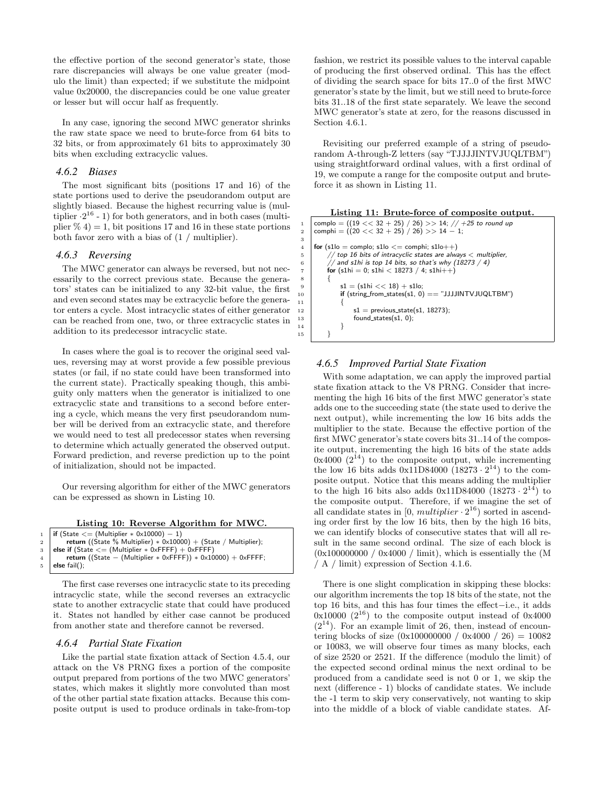the effective portion of the second generator's state, those rare discrepancies will always be one value greater (modulo the limit) than expected; if we substitute the midpoint value 0x20000, the discrepancies could be one value greater or lesser but will occur half as frequently.

In any case, ignoring the second MWC generator shrinks the raw state space we need to brute-force from 64 bits to 32 bits, or from approximately 61 bits to approximately 30 bits when excluding extracyclic values.

#### *4.6.2 Biases*

The most significant bits (positions 17 and 16) of the state portions used to derive the pseudorandom output are slightly biased. Because the highest recurring value is (multiplier  $\cdot 2^{16}$  - 1) for both generators, and in both cases (multiplier  $\%$  4) = 1, bit positions 17 and 16 in these state portions both favor zero with a bias of (1 / multiplier).

#### *4.6.3 Reversing*

The MWC generator can always be reversed, but not necessarily to the correct previous state. Because the generators' states can be initialized to any 32-bit value, the first and even second states may be extracyclic before the generator enters a cycle. Most intracyclic states of either generator can be reached from one, two, or three extracyclic states in addition to its predecessor intracyclic state.

In cases where the goal is to recover the original seed values, reversing may at worst provide a few possible previous states (or fail, if no state could have been transformed into the current state). Practically speaking though, this ambiguity only matters when the generator is initialized to one extracyclic state and transitions to a second before entering a cycle, which means the very first pseudorandom number will be derived from an extracyclic state, and therefore we would need to test all predecessor states when reversing to determine which actually generated the observed output. Forward prediction, and reverse prediction up to the point of initialization, should not be impacted.

Our reversing algorithm for either of the MWC generators can be expressed as shown in Listing 10.

| Listing 10: Reverse Algorithm for MWC. |  |  |
|----------------------------------------|--|--|
|                                        |  |  |

|               | 1   <b>if</b> (State $\leq$ = (Multiplier $*$ 0x10000) - 1)               |
|---------------|---------------------------------------------------------------------------|
| $\frac{1}{2}$ | return ((State % Multiplier) $* 0 \times 10000$ ) + (State / Multiplier); |
|               | 3   else if $(State \leq (Multiplier * 0 \times FFFF) + 0 \times FFFF)$   |
| $4 \mid$      | return ((State – (Multiplier $*$ 0xFFFF)) $*$ 0x10000) + 0xFFFF;          |
|               | $5$   else fail();                                                        |
|               |                                                                           |

The first case reverses one intracyclic state to its preceding intracyclic state, while the second reverses an extracyclic state to another extracyclic state that could have produced it. States not handled by either case cannot be produced from another state and therefore cannot be reversed.

#### *4.6.4 Partial State Fixation*

Like the partial state fixation attack of Section 4.5.4, our attack on the V8 PRNG fixes a portion of the composite output prepared from portions of the two MWC generators' states, which makes it slightly more convoluted than most of the other partial state fixation attacks. Because this composite output is used to produce ordinals in take-from-top fashion, we restrict its possible values to the interval capable of producing the first observed ordinal. This has the effect of dividing the search space for bits 17..0 of the first MWC generator's state by the limit, but we still need to brute-force bits 31..18 of the first state separately. We leave the second MWC generator's state at zero, for the reasons discussed in Section 4.6.1.

Revisiting our preferred example of a string of pseudorandom A-through-Z letters (say "TJJJJINTVJUQLTBM") using straightforward ordinal values, with a first ordinal of 19, we compute a range for the composite output and bruteforce it as shown in Listing 11.



#### *4.6.5 Improved Partial State Fixation*

With some adaptation, we can apply the improved partial state fixation attack to the V8 PRNG. Consider that incrementing the high 16 bits of the first MWC generator's state adds one to the succeeding state (the state used to derive the next output), while incrementing the low 16 bits adds the multiplier to the state. Because the effective portion of the first MWC generator's state covers bits 31..14 of the composite output, incrementing the high 16 bits of the state adds  $0x4000$   $(2^{14})$  to the composite output, while incrementing the low 16 bits adds  $0x11D84000 (18273 \cdot 2^{14})$  to the composite output. Notice that this means adding the multiplier to the high 16 bits also adds  $0x11D84000 (18273 \cdot 2^{14})$  to the composite output. Therefore, if we imagine the set of all candidate states in  $[0, multiplier \cdot 2^{16})$  sorted in ascending order first by the low 16 bits, then by the high 16 bits, we can identify blocks of consecutive states that will all result in the same second ordinal. The size of each block is  $(0x1000000000 / 0x4000 /$  limit), which is essentially the (M / A / limit) expression of Section 4.1.6.

There is one slight complication in skipping these blocks: our algorithm increments the top 18 bits of the state, not the top 16 bits, and this has four times the effect−i.e., it adds  $0x10000$   $(2^{16})$  to the composite output instead of  $0x4000$  $(2^{14})$ . For an example limit of 26, then, instead of encountering blocks of size  $(0x100000000 / 0x4000 / 26) = 10082$ or 10083, we will observe four times as many blocks, each of size 2520 or 2521. If the difference (modulo the limit) of the expected second ordinal minus the next ordinal to be produced from a candidate seed is not 0 or 1, we skip the next (difference - 1) blocks of candidate states. We include the -1 term to skip very conservatively, not wanting to skip into the middle of a block of viable candidate states. Af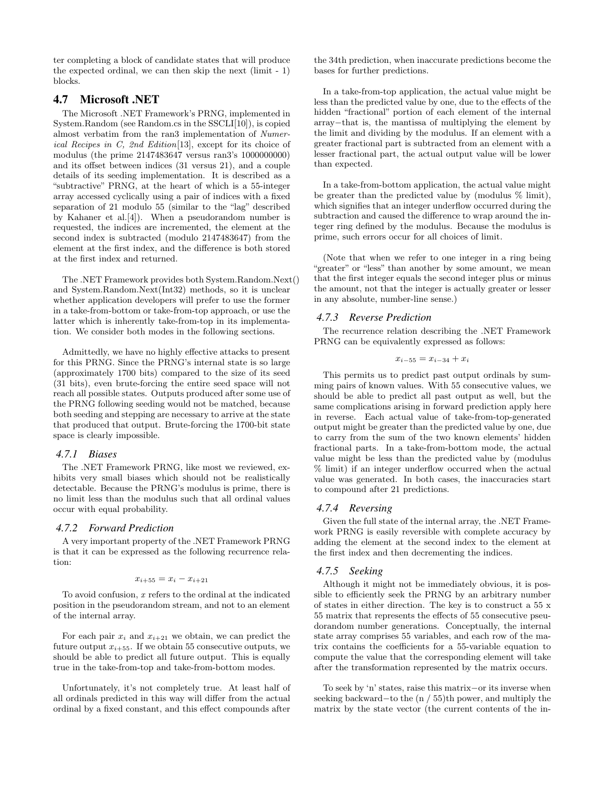ter completing a block of candidate states that will produce the expected ordinal, we can then skip the next (limit - 1) blocks.

## 4.7 Microsoft .NET

The Microsoft .NET Framework's PRNG, implemented in System.Random (see Random.cs in the SSCLI[10]), is copied almost verbatim from the ran3 implementation of Numerical Recipes in C, 2nd Edition[13], except for its choice of modulus (the prime 2147483647 versus ran3's 1000000000) and its offset between indices (31 versus 21), and a couple details of its seeding implementation. It is described as a "subtractive" PRNG, at the heart of which is a 55-integer array accessed cyclically using a pair of indices with a fixed separation of 21 modulo 55 (similar to the "lag" described by Kahaner et al.[4]). When a pseudorandom number is requested, the indices are incremented, the element at the second index is subtracted (modulo 2147483647) from the element at the first index, and the difference is both stored at the first index and returned.

The .NET Framework provides both System.Random.Next() and System.Random.Next(Int32) methods, so it is unclear whether application developers will prefer to use the former in a take-from-bottom or take-from-top approach, or use the latter which is inherently take-from-top in its implementation. We consider both modes in the following sections.

Admittedly, we have no highly effective attacks to present for this PRNG. Since the PRNG's internal state is so large (approximately 1700 bits) compared to the size of its seed (31 bits), even brute-forcing the entire seed space will not reach all possible states. Outputs produced after some use of the PRNG following seeding would not be matched, because both seeding and stepping are necessary to arrive at the state that produced that output. Brute-forcing the 1700-bit state space is clearly impossible.

## *4.7.1 Biases*

The .NET Framework PRNG, like most we reviewed, exhibits very small biases which should not be realistically detectable. Because the PRNG's modulus is prime, there is no limit less than the modulus such that all ordinal values occur with equal probability.

#### *4.7.2 Forward Prediction*

A very important property of the .NET Framework PRNG is that it can be expressed as the following recurrence relation:

$$
x_{i+55} = x_i - x_{i+21}
$$

To avoid confusion,  $x$  refers to the ordinal at the indicated position in the pseudorandom stream, and not to an element of the internal array.

For each pair  $x_i$  and  $x_{i+21}$  we obtain, we can predict the future output  $x_{i+55}$ . If we obtain 55 consecutive outputs, we should be able to predict all future output. This is equally true in the take-from-top and take-from-bottom modes.

Unfortunately, it's not completely true. At least half of all ordinals predicted in this way will differ from the actual ordinal by a fixed constant, and this effect compounds after

the 34th prediction, when inaccurate predictions become the bases for further predictions.

In a take-from-top application, the actual value might be less than the predicted value by one, due to the effects of the hidden "fractional" portion of each element of the internal array−that is, the mantissa of multiplying the element by the limit and dividing by the modulus. If an element with a greater fractional part is subtracted from an element with a lesser fractional part, the actual output value will be lower than expected.

In a take-from-bottom application, the actual value might be greater than the predicted value by (modulus % limit), which signifies that an integer underflow occurred during the subtraction and caused the difference to wrap around the integer ring defined by the modulus. Because the modulus is prime, such errors occur for all choices of limit.

(Note that when we refer to one integer in a ring being "greater" or "less" than another by some amount, we mean that the first integer equals the second integer plus or minus the amount, not that the integer is actually greater or lesser in any absolute, number-line sense.)

#### *4.7.3 Reverse Prediction*

The recurrence relation describing the .NET Framework PRNG can be equivalently expressed as follows:

 $x_{i-55} = x_{i-34} + x_i$ 

This permits us to predict past output ordinals by summing pairs of known values. With 55 consecutive values, we should be able to predict all past output as well, but the same complications arising in forward prediction apply here in reverse. Each actual value of take-from-top-generated output might be greater than the predicted value by one, due to carry from the sum of the two known elements' hidden fractional parts. In a take-from-bottom mode, the actual value might be less than the predicted value by (modulus % limit) if an integer underflow occurred when the actual value was generated. In both cases, the inaccuracies start to compound after 21 predictions.

### *4.7.4 Reversing*

Given the full state of the internal array, the .NET Framework PRNG is easily reversible with complete accuracy by adding the element at the second index to the element at the first index and then decrementing the indices.

## *4.7.5 Seeking*

Although it might not be immediately obvious, it is possible to efficiently seek the PRNG by an arbitrary number of states in either direction. The key is to construct a 55 x 55 matrix that represents the effects of 55 consecutive pseudorandom number generations. Conceptually, the internal state array comprises 55 variables, and each row of the matrix contains the coefficients for a 55-variable equation to compute the value that the corresponding element will take after the transformation represented by the matrix occurs.

To seek by 'n' states, raise this matrix−or its inverse when seeking backward−to the (n / 55)th power, and multiply the matrix by the state vector (the current contents of the in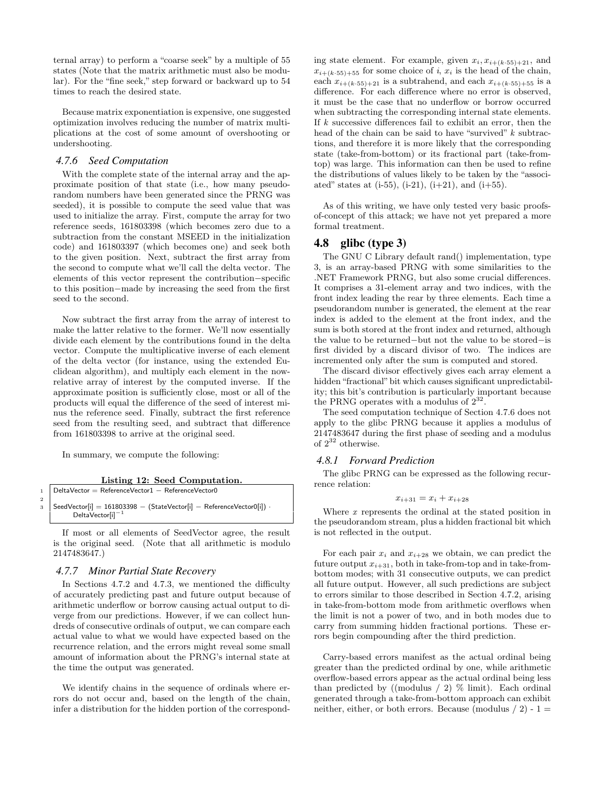ternal array) to perform a "coarse seek" by a multiple of 55 states (Note that the matrix arithmetic must also be modular). For the "fine seek," step forward or backward up to 54 times to reach the desired state.

Because matrix exponentiation is expensive, one suggested optimization involves reducing the number of matrix multiplications at the cost of some amount of overshooting or undershooting.

#### *4.7.6 Seed Computation*

With the complete state of the internal array and the approximate position of that state (i.e., how many pseudorandom numbers have been generated since the PRNG was seeded), it is possible to compute the seed value that was used to initialize the array. First, compute the array for two reference seeds, 161803398 (which becomes zero due to a subtraction from the constant MSEED in the initialization code) and 161803397 (which becomes one) and seek both to the given position. Next, subtract the first array from the second to compute what we'll call the delta vector. The elements of this vector represent the contribution−specific to this position−made by increasing the seed from the first seed to the second.

Now subtract the first array from the array of interest to make the latter relative to the former. We'll now essentially divide each element by the contributions found in the delta vector. Compute the multiplicative inverse of each element of the delta vector (for instance, using the extended Euclidean algorithm), and multiply each element in the nowrelative array of interest by the computed inverse. If the approximate position is sufficiently close, most or all of the products will equal the difference of the seed of interest minus the reference seed. Finally, subtract the first reference seed from the resulting seed, and subtract that difference from 161803398 to arrive at the original seed.

In summary, we compute the following:

Listing 12: Seed Computation.

|              | $1$ Delta Vector = Reference Vector 1 - Reference Vector 0                          |
|--------------|-------------------------------------------------------------------------------------|
| $\mathbf{2}$ | $_3$ SeedVector[i] $= 161803398 -$ (StateVector[i] $-$ ReferenceVector0[i]) $\cdot$ |
|              | $DeltaVector[i]^{-1}$                                                               |

If most or all elements of SeedVector agree, the result is the original seed. (Note that all arithmetic is modulo 2147483647.)

#### *4.7.7 Minor Partial State Recovery*

In Sections 4.7.2 and 4.7.3, we mentioned the difficulty of accurately predicting past and future output because of arithmetic underflow or borrow causing actual output to diverge from our predictions. However, if we can collect hundreds of consecutive ordinals of output, we can compare each actual value to what we would have expected based on the recurrence relation, and the errors might reveal some small amount of information about the PRNG's internal state at the time the output was generated.

We identify chains in the sequence of ordinals where errors do not occur and, based on the length of the chain, infer a distribution for the hidden portion of the corresponding state element. For example, given  $x_i, x_{i+(k \cdot 55)+21}$ , and  $x_{i+(k.55)+55}$  for some choice of i,  $x_i$  is the head of the chain, each  $x_{i+(k\cdot55)+21}$  is a subtrahend, and each  $x_{i+(k\cdot55)+55}$  is a difference. For each difference where no error is observed, it must be the case that no underflow or borrow occurred when subtracting the corresponding internal state elements. If k successive differences fail to exhibit an error, then the head of the chain can be said to have "survived" k subtractions, and therefore it is more likely that the corresponding state (take-from-bottom) or its fractional part (take-fromtop) was large. This information can then be used to refine the distributions of values likely to be taken by the "associated" states at  $(i-55)$ ,  $(i-21)$ ,  $(i+21)$ , and  $(i+55)$ .

As of this writing, we have only tested very basic proofsof-concept of this attack; we have not yet prepared a more formal treatment.

#### 4.8 glibc (type 3)

The GNU C Library default rand() implementation, type 3, is an array-based PRNG with some similarities to the .NET Framework PRNG, but also some crucial differences. It comprises a 31-element array and two indices, with the front index leading the rear by three elements. Each time a pseudorandom number is generated, the element at the rear index is added to the element at the front index, and the sum is both stored at the front index and returned, although the value to be returned−but not the value to be stored−is first divided by a discard divisor of two. The indices are incremented only after the sum is computed and stored.

The discard divisor effectively gives each array element a hidden "fractional" bit which causes significant unpredictability; this bit's contribution is particularly important because the PRNG operates with a modulus of  $2^{32}$ .

The seed computation technique of Section 4.7.6 does not apply to the glibc PRNG because it applies a modulus of 2147483647 during the first phase of seeding and a modulus of  $2^{32}$  otherwise.

#### *4.8.1 Forward Prediction*

The glibc PRNG can be expressed as the following recurrence relation:

$$
x_{i+31} = x_i + x_{i+28}
$$

Where  $x$  represents the ordinal at the stated position in the pseudorandom stream, plus a hidden fractional bit which is not reflected in the output.

For each pair  $x_i$  and  $x_{i+28}$  we obtain, we can predict the future output  $x_{i+31}$ , both in take-from-top and in take-frombottom modes; with 31 consecutive outputs, we can predict all future output. However, all such predictions are subject to errors similar to those described in Section 4.7.2, arising in take-from-bottom mode from arithmetic overflows when the limit is not a power of two, and in both modes due to carry from summing hidden fractional portions. These errors begin compounding after the third prediction.

Carry-based errors manifest as the actual ordinal being greater than the predicted ordinal by one, while arithmetic overflow-based errors appear as the actual ordinal being less than predicted by ((modulus  $/ 2$ ) % limit). Each ordinal generated through a take-from-bottom approach can exhibit neither, either, or both errors. Because (modulus  $/ 2$ ) - 1 =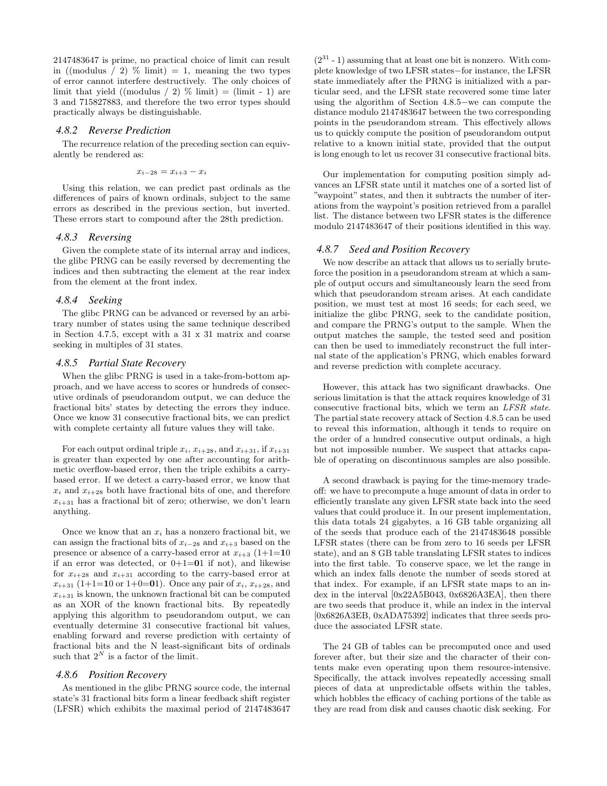2147483647 is prime, no practical choice of limit can result in ((modulus / 2) % limit) = 1, meaning the two types of error cannot interfere destructively. The only choices of limit that yield ((modulus / 2)  $\%$  limit) = (limit - 1) are 3 and 715827883, and therefore the two error types should practically always be distinguishable.

### *4.8.2 Reverse Prediction*

The recurrence relation of the preceding section can equivalently be rendered as:

$$
x_{i-28}=x_{i+3}-x_i
$$

Using this relation, we can predict past ordinals as the differences of pairs of known ordinals, subject to the same errors as described in the previous section, but inverted. These errors start to compound after the 28th prediction.

#### *4.8.3 Reversing*

Given the complete state of its internal array and indices, the glibc PRNG can be easily reversed by decrementing the indices and then subtracting the element at the rear index from the element at the front index.

#### *4.8.4 Seeking*

The glibc PRNG can be advanced or reversed by an arbitrary number of states using the same technique described in Section 4.7.5, except with a 31 x 31 matrix and coarse seeking in multiples of 31 states.

#### *4.8.5 Partial State Recovery*

When the glibc PRNG is used in a take-from-bottom approach, and we have access to scores or hundreds of consecutive ordinals of pseudorandom output, we can deduce the fractional bits' states by detecting the errors they induce. Once we know 31 consecutive fractional bits, we can predict with complete certainty all future values they will take.

For each output ordinal triple  $x_i$ ,  $x_{i+28}$ , and  $x_{i+31}$ , if  $x_{i+31}$ is greater than expected by one after accounting for arithmetic overflow-based error, then the triple exhibits a carrybased error. If we detect a carry-based error, we know that  $x_i$  and  $x_{i+28}$  both have fractional bits of one, and therefore  $x_{i+31}$  has a fractional bit of zero; otherwise, we don't learn anything.

Once we know that an  $x_i$  has a nonzero fractional bit, we can assign the fractional bits of  $x_{i-28}$  and  $x_{i+3}$  based on the presence or absence of a carry-based error at  $x_{i+3}$  (1+1=10) if an error was detected, or  $0+1=01$  if not), and likewise for  $x_{i+28}$  and  $x_{i+31}$  according to the carry-based error at  $x_{i+31}$  (1+1=10 or 1+0=01). Once any pair of  $x_i$ ,  $x_{i+28}$ , and  $x_{i+31}$  is known, the unknown fractional bit can be computed as an XOR of the known fractional bits. By repeatedly applying this algorithm to pseudorandom output, we can eventually determine 31 consecutive fractional bit values, enabling forward and reverse prediction with certainty of fractional bits and the N least-significant bits of ordinals such that  $2^N$  is a factor of the limit.

#### *4.8.6 Position Recovery*

As mentioned in the glibc PRNG source code, the internal state's 31 fractional bits form a linear feedback shift register (LFSR) which exhibits the maximal period of 2147483647

 $(2^{31} - 1)$  assuming that at least one bit is nonzero. With complete knowledge of two LFSR states−for instance, the LFSR state immediately after the PRNG is initialized with a particular seed, and the LFSR state recovered some time later using the algorithm of Section 4.8.5−we can compute the distance modulo 2147483647 between the two corresponding points in the pseudorandom stream. This effectively allows us to quickly compute the position of pseudorandom output relative to a known initial state, provided that the output is long enough to let us recover 31 consecutive fractional bits.

Our implementation for computing position simply advances an LFSR state until it matches one of a sorted list of "waypoint" states, and then it subtracts the number of iterations from the waypoint's position retrieved from a parallel list. The distance between two LFSR states is the difference modulo 2147483647 of their positions identified in this way.

#### *4.8.7 Seed and Position Recovery*

We now describe an attack that allows us to serially bruteforce the position in a pseudorandom stream at which a sample of output occurs and simultaneously learn the seed from which that pseudorandom stream arises. At each candidate position, we must test at most 16 seeds; for each seed, we initialize the glibc PRNG, seek to the candidate position, and compare the PRNG's output to the sample. When the output matches the sample, the tested seed and position can then be used to immediately reconstruct the full internal state of the application's PRNG, which enables forward and reverse prediction with complete accuracy.

However, this attack has two significant drawbacks. One serious limitation is that the attack requires knowledge of 31 consecutive fractional bits, which we term an LFSR state. The partial state recovery attack of Section 4.8.5 can be used to reveal this information, although it tends to require on the order of a hundred consecutive output ordinals, a high but not impossible number. We suspect that attacks capable of operating on discontinuous samples are also possible.

A second drawback is paying for the time-memory tradeoff: we have to precompute a huge amount of data in order to efficiently translate any given LFSR state back into the seed values that could produce it. In our present implementation, this data totals 24 gigabytes, a 16 GB table organizing all of the seeds that produce each of the 2147483648 possible LFSR states (there can be from zero to 16 seeds per LFSR state), and an 8 GB table translating LFSR states to indices into the first table. To conserve space, we let the range in which an index falls denote the number of seeds stored at that index. For example, if an LFSR state maps to an index in the interval [0x22A5B043, 0x6826A3EA], then there are two seeds that produce it, while an index in the interval [0x6826A3EB, 0xADA75392] indicates that three seeds produce the associated LFSR state.

The 24 GB of tables can be precomputed once and used forever after, but their size and the character of their contents make even operating upon them resource-intensive. Specifically, the attack involves repeatedly accessing small pieces of data at unpredictable offsets within the tables, which hobbles the efficacy of caching portions of the table as they are read from disk and causes chaotic disk seeking. For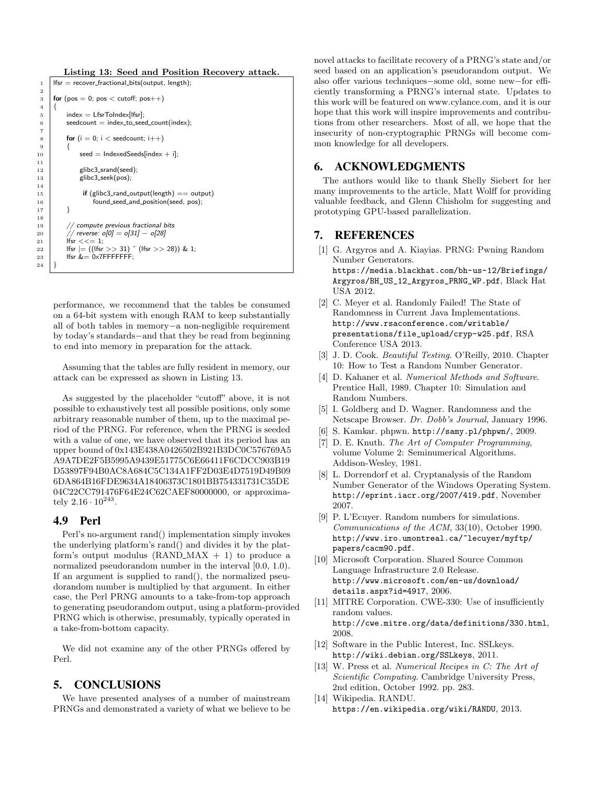Listing 13: Seed and Position Recovery attack.

```
1 | Ifsr = recover_fractional_bits(output, length);
2
 3 \mid for (pos = 0; pos < cutoff; pos ++)
 \begin{array}{c} 4 \\ 5 \end{array}index = LfsrTolndex[lfsr];6 seedcount = index_to_seed_count(index);
 7
 8 for (i = 0; i < seedcount; i++)
 9 {
10 \vert seed = IndexedSeeds[index + i];
11
\begin{array}{c|c} 12 & \text{glibc3\_srand(seed);} \\ 13 & \text{glibc3\_seek(pos);} \end{array}elibc3 seek(pos);
14
15 if (glibc3_rand_output(length) == output)
16 found_seed_and_position(seed, pos);
17 }
18
19 // compute previous fractional bits<br>
20 // reverse: \rho[0] = \rho[31] - \rho[28]20 \binom{1}{21} // reverse: o[0] = o[31] - o[28]<br>21 \left| \text{fsr} \right| < \leq 1:
            lfsr << = 1;\begin{array}{c|c} 22 & \text{if } |c| \end{array} [fsr = ((lfsr >> 31) ^ (lfsr >> 28)) & 1;
23 | Ifsr \&= 0 \times 7FFFFFFF;
24 }
```
performance, we recommend that the tables be consumed on a 64-bit system with enough RAM to keep substantially all of both tables in memory−a non-negligible requirement by today's standards−and that they be read from beginning to end into memory in preparation for the attack.

Assuming that the tables are fully resident in memory, our attack can be expressed as shown in Listing 13.

As suggested by the placeholder "cutoff" above, it is not possible to exhaustively test all possible positions, only some arbitrary reasonable number of them, up to the maximal period of the PRNG. For reference, when the PRNG is seeded with a value of one, we have observed that its period has an upper bound of 0x143E438A0426502B921B3DC0C576769A5 A9A7DE2F5B5995A9439E51775C6E66411F6CDCC903B19 D53897F94B0AC8A684C5C134A1FF2D03E4D7519D49B09 6DA864B16FDE9634A18406373C1801BB754331731C35DE 04C22CC791476F64E24C62CAEF80000000, or approximately  $2.16 \cdot 10^{243}$ .

## 4.9 Perl

Perl's no-argument rand() implementation simply invokes the underlying platform's rand() and divides it by the platform's output modulus  $(RAND\_MAX + 1)$  to produce a normalized pseudorandom number in the interval [0.0, 1.0). If an argument is supplied to rand(), the normalized pseudorandom number is multiplied by that argument. In either case, the Perl PRNG amounts to a take-from-top approach to generating pseudorandom output, using a platform-provided PRNG which is otherwise, presumably, typically operated in a take-from-bottom capacity.

We did not examine any of the other PRNGs offered by Perl.

# 5. CONCLUSIONS

We have presented analyses of a number of mainstream PRNGs and demonstrated a variety of what we believe to be

novel attacks to facilitate recovery of a PRNG's state and/or seed based on an application's pseudorandom output. We also offer various techniques−some old, some new−for efficiently transforming a PRNG's internal state. Updates to this work will be featured on www.cylance.com, and it is our hope that this work will inspire improvements and contributions from other researchers. Most of all, we hope that the insecurity of non-cryptographic PRNGs will become common knowledge for all developers.

## 6. ACKNOWLEDGMENTS

The authors would like to thank Shelly Siebert for her many improvements to the article, Matt Wolff for providing valuable feedback, and Glenn Chisholm for suggesting and prototyping GPU-based parallelization.

## 7. REFERENCES

- [1] G. Argyros and A. Kiayias. PRNG: Pwning Random Number Generators. https://media.blackhat.com/bh-us-12/Briefings/ Argyros/BH\_US\_12\_Argyros\_PRNG\_WP.pdf, Black Hat USA 2012.
- [2] C. Meyer et al. Randomly Failed! The State of Randomness in Current Java Implementations. http://www.rsaconference.com/writable/ presentations/file\_upload/cryp-w25.pdf, RSA Conference USA 2013.
- [3] J. D. Cook. Beautiful Testing. O'Reilly, 2010. Chapter 10: How to Test a Random Number Generator.
- [4] D. Kahaner et al. Numerical Methods and Software. Prentice Hall, 1989. Chapter 10: Simulation and Random Numbers.
- [5] I. Goldberg and D. Wagner. Randomness and the Netscape Browser. Dr. Dobb's Journal, January 1996.
- [6] S. Kamkar. phpwn. http://samy.pl/phpwn/, 2009.
- [7] D. E. Knuth. The Art of Computer Programming, volume Volume 2: Seminumerical Algorithms. Addison-Wesley, 1981.
- [8] L. Dorrendorf et al. Cryptanalysis of the Random Number Generator of the Windows Operating System. http://eprint.iacr.org/2007/419.pdf, November 2007.
- [9] P. L'Ecuyer. Random numbers for simulations. Communications of the ACM, 33(10), October 1990. http://www.iro.umontreal.ca/~lecuyer/myftp/ papers/cacm90.pdf.
- [10] Microsoft Corporation. Shared Source Common Language Infrastructure 2.0 Release. http://www.microsoft.com/en-us/download/ details.aspx?id=4917, 2006.
- [11] MITRE Corporation. CWE-330: Use of insufficiently random values. http://cwe.mitre.org/data/definitions/330.html, 2008.
- [12] Software in the Public Interest, Inc. SSLkeys. http://wiki.debian.org/SSLkeys, 2011.
- [13] W. Press et al. Numerical Recipes in C: The Art of Scientific Computing. Cambridge University Press, 2nd edition, October 1992. pp. 283.
- [14] Wikipedia. RANDU. https://en.wikipedia.org/wiki/RANDU, 2013.